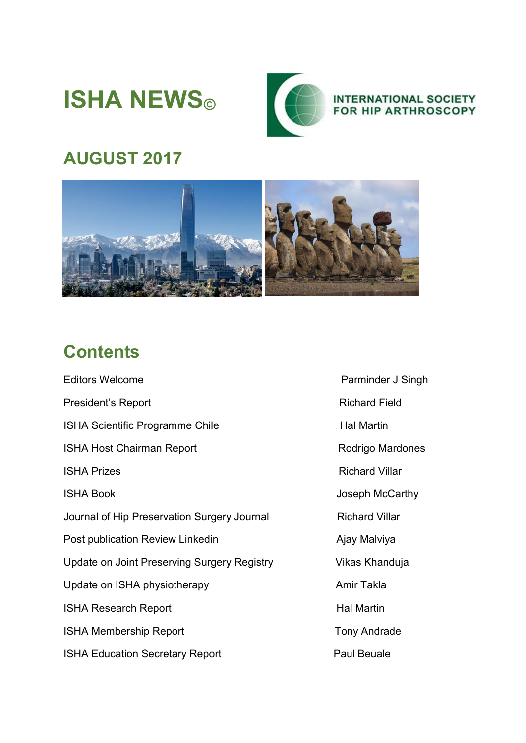# **ISHA NEWS©**



**INTERNATIONAL SOCIETY RHIP ARTHROSCOPY** 

## **AUGUST 2017**



### **Contents**

Editors Welcome **Parminder J** Singh President's Report **Richard Field** ISHA Scientific Programme Chile **Halmartin** Hal Martin ISHA Host Chairman Report Rodrigo Mardones **ISHA Prizes Richard Villar** ISHA Book **Joseph McCarthy** Journal of Hip Preservation Surgery Journal Richard Villar Post publication Review Linkedin Ajay Malviya Update on Joint Preserving Surgery Registry Vikas Khanduja Update on ISHA physiotherapy **Amir Takla** ISHA Research Report **Halmartin** Hal Martin ISHA Membership Report Tony Andrade ISHA Education Secretary Report Paul Beuale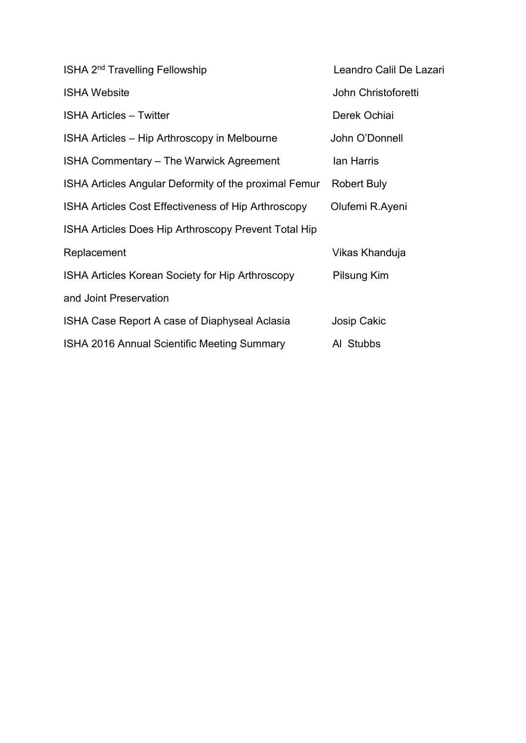| ISHA 2 <sup>nd</sup> Travelling Fellowship            | Leandro Calil De Lazari |
|-------------------------------------------------------|-------------------------|
| <b>ISHA Website</b>                                   | John Christoforetti     |
| <b>ISHA Articles - Twitter</b>                        | Derek Ochiai            |
| ISHA Articles – Hip Arthroscopy in Melbourne          | John O'Donnell          |
| ISHA Commentary - The Warwick Agreement               | lan Harris              |
| ISHA Articles Angular Deformity of the proximal Femur | <b>Robert Buly</b>      |
| ISHA Articles Cost Effectiveness of Hip Arthroscopy   | Olufemi R.Ayeni         |
| ISHA Articles Does Hip Arthroscopy Prevent Total Hip  |                         |
| Replacement                                           | Vikas Khanduja          |
| ISHA Articles Korean Society for Hip Arthroscopy      | Pilsung Kim             |
| and Joint Preservation                                |                         |
| ISHA Case Report A case of Diaphyseal Aclasia         | <b>Josip Cakic</b>      |
| ISHA 2016 Annual Scientific Meeting Summary           | Al Stubbs               |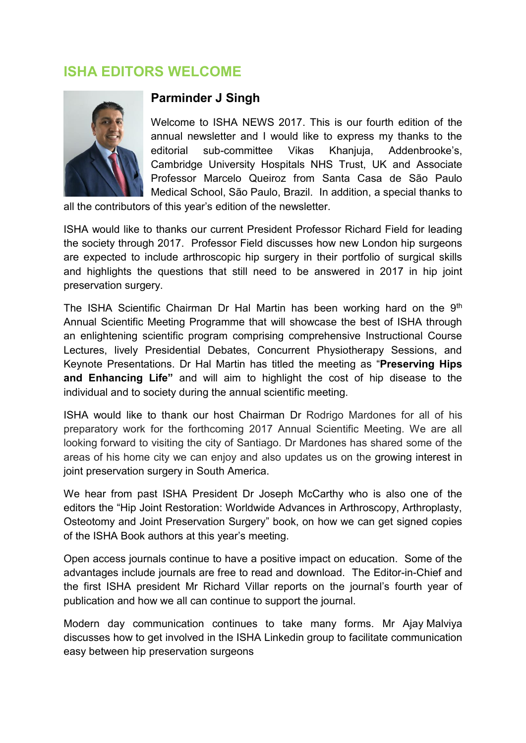#### **ISHA EDITORS WELCOME**



#### **Parminder J Singh**

Welcome to ISHA NEWS 2017. This is our fourth edition of the annual newsletter and I would like to express my thanks to the editorial sub-committee Vikas Khanjuja, Addenbrooke's, Cambridge University Hospitals NHS Trust, UK and Associate Professor Marcelo Queiroz from Santa Casa de São Paulo Medical School, São Paulo, Brazil. In addition, a special thanks to

all the contributors of this year's edition of the newsletter.

ISHA would like to thanks our current President Professor Richard Field for leading the society through 2017. Professor Field discusses how new London hip surgeons are expected to include arthroscopic hip surgery in their portfolio of surgical skills and highlights the questions that still need to be answered in 2017 in hip joint preservation surgery.

The ISHA Scientific Chairman Dr Hal Martin has been working hard on the 9<sup>th</sup> Annual Scientific Meeting Programme that will showcase the best of ISHA through an enlightening scientific program comprising comprehensive Instructional Course Lectures, lively Presidential Debates, Concurrent Physiotherapy Sessions, and Keynote Presentations. Dr Hal Martin has titled the meeting as "**Preserving Hips and Enhancing Life"** and will aim to highlight the cost of hip disease to the individual and to society during the annual scientific meeting.

ISHA would like to thank our host Chairman Dr Rodrigo Mardones for all of his preparatory work for the forthcoming 2017 Annual Scientific Meeting. We are all looking forward to visiting the city of Santiago. Dr Mardones has shared some of the areas of his home city we can enjoy and also updates us on the growing interest in joint preservation surgery in South America.

We hear from past ISHA President Dr Joseph McCarthy who is also one of the editors the "Hip Joint Restoration: Worldwide Advances in Arthroscopy, Arthroplasty, Osteotomy and Joint Preservation Surgery" book, on how we can get signed copies of the ISHA Book authors at this year's meeting.

Open access journals continue to have a positive impact on education. Some of the advantages include journals are free to read and download. The Editor-in-Chief and the first ISHA president Mr Richard Villar reports on the journal's fourth year of publication and how we all can continue to support the journal.

Modern day communication continues to take many forms. Mr Ajay Malviya discusses how to get involved in the ISHA Linkedin group to facilitate communication easy between hip preservation surgeons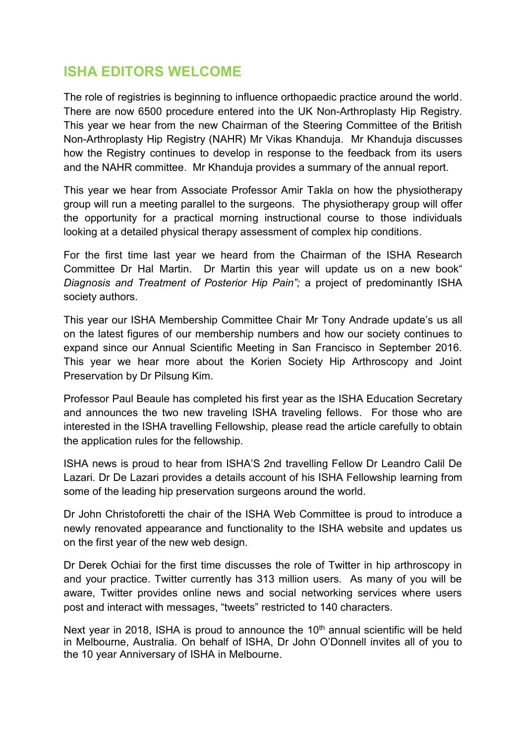#### **ISHA EDITORS WELCOME**

The role of registries is beginning to influence orthopaedic practice around the world. There are now 6500 procedure entered into the UK Non-Arthroplasty Hip Registry. This year we hear from the new Chairman of the Steering Committee of the British Non-Arthroplasty Hip Registry (NAHR) Mr Vikas Khanduja. Mr Khanduja discusses how the Registry continues to develop in response to the feedback from its users and the NAHR committee. Mr Khanduja provides a summary of the annual report.

This year we hear from Associate Professor Amir Takla on how the physiotherapy group will run a meeting parallel to the surgeons. The physiotherapy group will offer the opportunity for a practical morning instructional course to those individuals looking at a detailed physical therapy assessment of complex hip conditions.

For the first time last year we heard from the Chairman of the ISHA Research Committee Dr Hal Martin. Dr Martin this year will update us on a new book" *Diagnosis and Treatment of Posterior Hip Pain";* a project of predominantly ISHA society authors.

This year our ISHA Membership Committee Chair Mr Tony Andrade update's us all on the latest figures of our membership numbers and how our society continues to expand since our Annual Scientific Meeting in San Francisco in September 2016. This year we hear more about the Korien Society Hip Arthroscopy and Joint Preservation by Dr Pilsung Kim.

Professor Paul Beaule has completed his first year as the ISHA Education Secretary and announces the two new traveling ISHA traveling fellows. For those who are interested in the ISHA travelling Fellowship, please read the article carefully to obtain the application rules for the fellowship.

ISHA news is proud to hear from ISHA'S 2nd travelling Fellow Dr Leandro Calil De Lazari. Dr De Lazari provides a details account of his ISHA Fellowship learning from some of the leading hip preservation surgeons around the world.

Dr John Christoforetti the chair of the ISHA Web Committee is proud to introduce a newly renovated appearance and functionality to the ISHA website and updates us on the first year of the new web design.

Dr Derek Ochiai for the first time discusses the role of Twitter in hip arthroscopy in and your practice. Twitter currently has 313 million users. As many of you will be aware, Twitter provides online news and social networking services where users post and interact with messages, "tweets" restricted to 140 characters.

Next year in 2018, ISHA is proud to announce the  $10<sup>th</sup>$  annual scientific will be held in Melbourne, Australia. On behalf of ISHA, Dr John O'Donnell invites all of you to the 10 year Anniversary of ISHA in Melbourne.